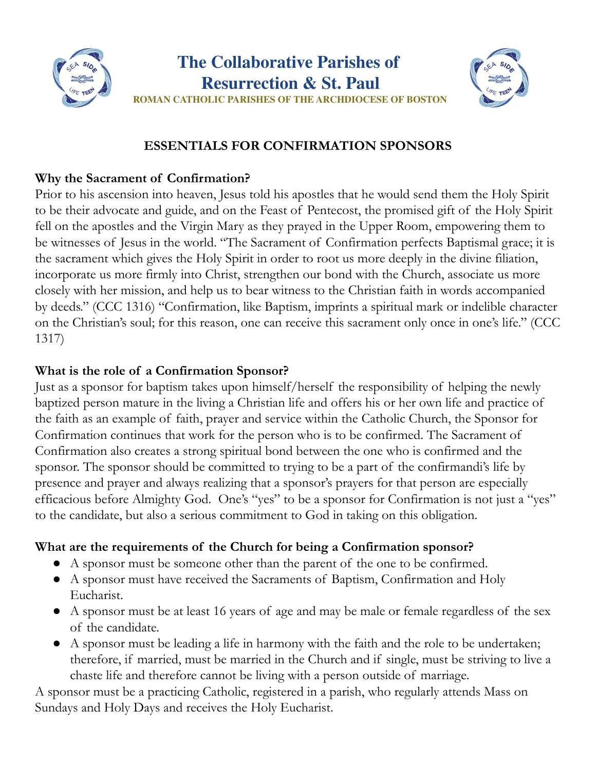



# **ESSENTIALS FOR CONFIRMATION SPONSORS**

## **Why the Sacrament of Confirmation?**

Prior to his ascension into heaven, Jesus told his apostles that he would send them the Holy Spirit to be their advocate and guide, and on the Feast of Pentecost, the promised gift of the Holy Spirit fell on the apostles and the Virgin Mary as they prayed in the Upper Room, empowering them to be witnesses of Jesus in the world. "The Sacrament of Confirmation perfects Baptismal grace; it is the sacrament which gives the Holy Spirit in order to root us more deeply in the divine filiation, incorporate us more firmly into Christ, strengthen our bond with the Church, associate us more closely with her mission, and help us to bear witness to the Christian faith in words accompanied by deeds." (CCC 1316) "Confirmation, like Baptism, imprints a spiritual mark or indelible character on the Christian's soul; for this reason, one can receive this sacrament only once in one's life." (CCC 1317)

#### **What is the role of a Confirmation Sponsor?**

Just as a sponsor for baptism takes upon himself/herself the responsibility of helping the newly baptized person mature in the living a Christian life and offers his or her own life and practice of the faith as an example of faith, prayer and service within the Catholic Church, the Sponsor for Confirmation continues that work for the person who is to be confirmed. The Sacrament of Confirmation also creates a strong spiritual bond between the one who is confirmed and the sponsor. The sponsor should be committed to trying to be a part of the confirmandi's life by presence and prayer and always realizing that a sponsor's prayers for that person are especially efficacious before Almighty God. One's "yes" to be a sponsor for Confirmation is not just a "yes" to the candidate, but also a serious commitment to God in taking on this obligation.

# **What are the requirements of the Church for being a Confirmation sponsor?**

- A sponsor must be someone other than the parent of the one to be confirmed.
- A sponsor must have received the Sacraments of Baptism, Confirmation and Holy Eucharist.
- A sponsor must be at least 16 years of age and may be male or female regardless of the sex of the candidate.
- A sponsor must be leading a life in harmony with the faith and the role to be undertaken; therefore, if married, must be married in the Church and if single, must be striving to live a chaste life and therefore cannot be living with a person outside of marriage.

A sponsor must be a practicing Catholic, registered in a parish, who regularly attends Mass on Sundays and Holy Days and receives the Holy Eucharist.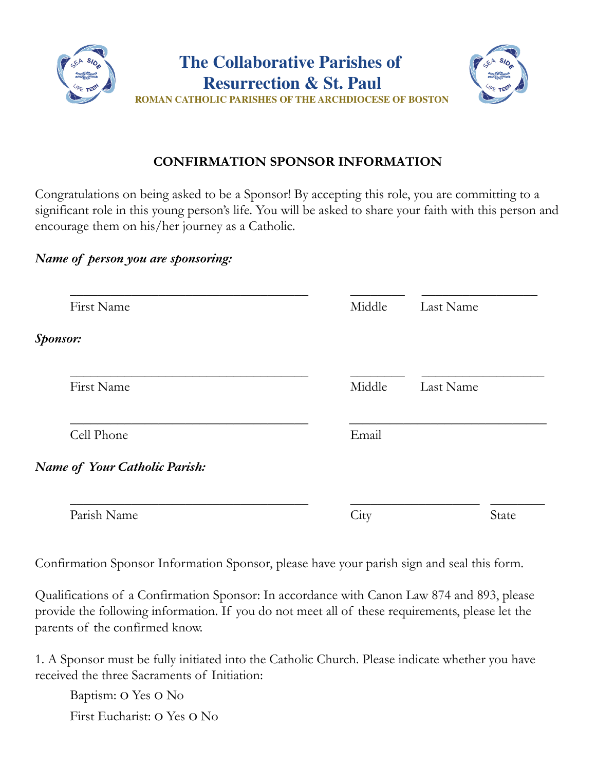

## **CONFIRMATION SPONSOR INFORMATION**

Congratulations on being asked to be a Sponsor! By accepting this role, you are committing to a significant role in this young person's life. You will be asked to share your faith with this person and encourage them on his/her journey as a Catholic.

#### *Name of person you are sponsoring:*

|          | First Name                    | Middle | Last Name |
|----------|-------------------------------|--------|-----------|
| Sponsor: |                               |        |           |
|          | First Name                    | Middle | Last Name |
|          | Cell Phone                    | Email  |           |
|          | Name of Your Catholic Parish: |        |           |
|          | Parish Name                   | City   | State     |

Confirmation Sponsor Information Sponsor, please have your parish sign and seal this form.

Qualifications of a Confirmation Sponsor: In accordance with Canon Law 874 and 893, please provide the following information. If you do not meet all of these requirements, please let the parents of the confirmed know.

1. A Sponsor must be fully initiated into the Catholic Church. Please indicate whether you have received the three Sacraments of Initiation:

Baptism: o Yes o No First Eucharist: o Yes o No